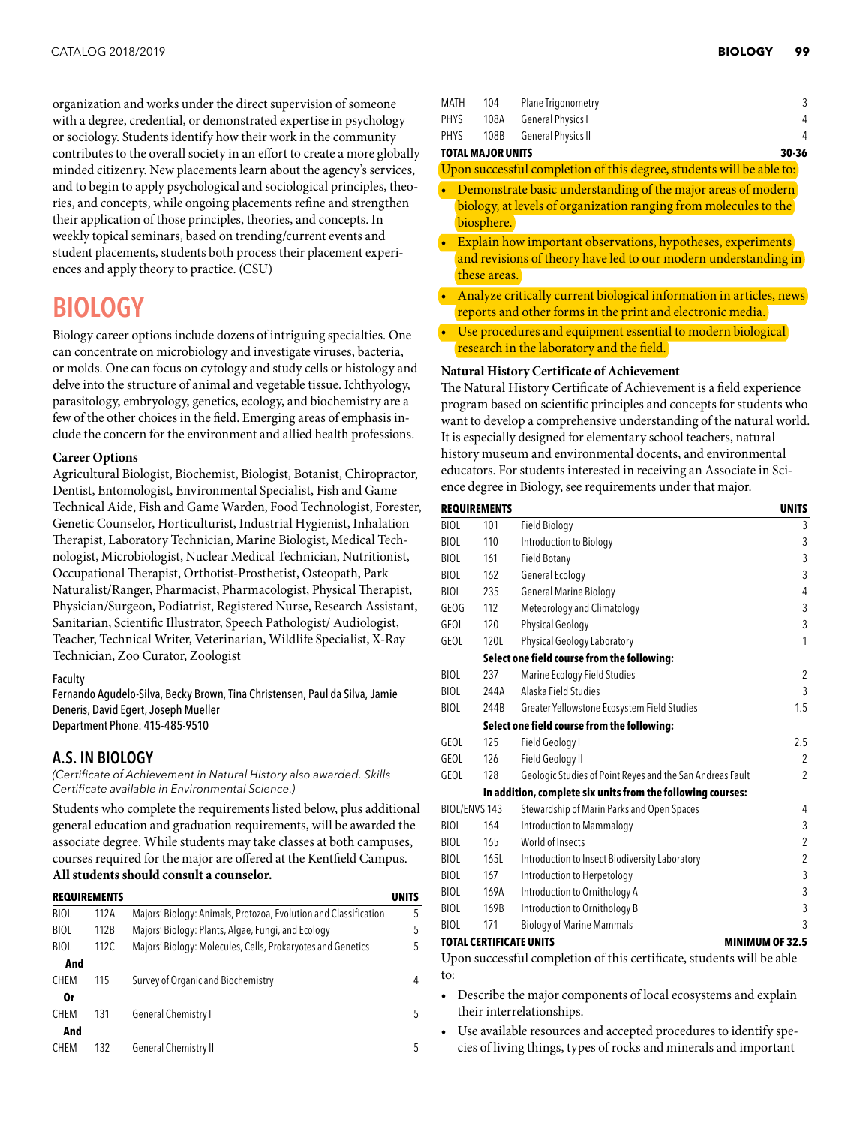organization and works under the direct supervision of someone with a degree, credential, or demonstrated expertise in psychology or sociology. Students identify how their work in the community contributes to the overall society in an effort to create a more globally minded citizenry. New placements learn about the agency's services, and to begin to apply psychological and sociological principles, theories, and concepts, while ongoing placements refine and strengthen their application of those principles, theories, and concepts. In weekly topical seminars, based on trending/current events and student placements, students both process their placement experiences and apply theory to practice. (CSU)

# BIOLOGY

Biology career options include dozens of intriguing specialties. One can concentrate on microbiology and investigate viruses, bacteria, or molds. One can focus on cytology and study cells or histology and delve into the structure of animal and vegetable tissue. Ichthyology, parasitology, embryology, genetics, ecology, and biochemistry are a few of the other choices in the field. Emerging areas of emphasis include the concern for the environment and allied health professions.

#### **Career Options**

Agricultural Biologist, Biochemist, Biologist, Botanist, Chiropractor, Dentist, Entomologist, Environmental Specialist, Fish and Game Technical Aide, Fish and Game Warden, Food Technologist, Forester, Genetic Counselor, Horticulturist, Industrial Hygienist, Inhalation Therapist, Laboratory Technician, Marine Biologist, Medical Technologist, Microbiologist, Nuclear Medical Technician, Nutritionist, Occupational Therapist, Orthotist-Prosthetist, Osteopath, Park Naturalist/Ranger, Pharmacist, Pharmacologist, Physical Therapist, Physician/Surgeon, Podiatrist, Registered Nurse, Research Assistant, Sanitarian, Scientific Illustrator, Speech Pathologist/ Audiologist, Teacher, Technical Writer, Veterinarian, Wildlife Specialist, X-Ray Technician, Zoo Curator, Zoologist

#### Faculty

Fernando Agudelo-Silva, Becky Brown, Tina Christensen, Paul da Silva, Jamie Deneris, David Egert, Joseph Mueller Department Phone: 415-485-9510

### A.S. IN BIOLOGY

*(Certificate of Achievement in Natural History also awarded. Skills Certificate available in Environmental Science.)*

Students who complete the requirements listed below, plus additional general education and graduation requirements, will be awarded the associate degree. While students may take classes at both campuses, courses required for the major are offered at the Kentfield Campus. **All students should consult a counselor.**

# **REQUIREMENTS UNITS** BIOL 112A Majors' Biology: Animals, Protozoa, Evolution and Classification 5 BIOL 112B Majors' Biology: Plants, Algae, Fungi, and Ecology 5 BIOL 112C Majors' Biology: Molecules, Cells, Prokaryotes and Genetics 5 **And** CHEM 115 Survey of Organic and Biochemistry 4 **Or** CHEM 131 General Chemistry I 5 **And** CHEM 132 General Chemistry II 5

|      | TOTAL MAJOR UNITS | 30-36              |   |
|------|-------------------|--------------------|---|
| PHYS | 108B              | General Physics II | 4 |
| PHYS | 108A              | General Physics I  | 4 |
| MATH | 104               | Plane Trigonometry |   |

Upon successful completion of this degree, students will be able to:

- Demonstrate basic understanding of the major areas of modern biology, at levels of organization ranging from molecules to the biosphere.
- Explain how important observations, hypotheses, experiments and revisions of theory have led to our modern understanding in these areas.
- Analyze critically current biological information in articles, news reports and other forms in the print and electronic media.
- Use procedures and equipment essential to modern biological research in the laboratory and the field.

#### **Natural History Certificate of Achievement**

The Natural History Certificate of Achievement is a field experience program based on scientific principles and concepts for students who want to develop a comprehensive understanding of the natural world. It is especially designed for elementary school teachers, natural history museum and environmental docents, and environmental educators. For students interested in receiving an Associate in Science degree in Biology, see requirements under that major.

| <b>REQUIREMENTS</b> |                                                             |                                                             |                |  |
|---------------------|-------------------------------------------------------------|-------------------------------------------------------------|----------------|--|
| <b>BIOL</b>         | 101                                                         | Field Biology                                               | 3              |  |
| <b>BIOL</b>         | 110                                                         | Introduction to Biology                                     | 3              |  |
| <b>BIOL</b>         | 161                                                         | Field Botany                                                | 3              |  |
| <b>BIOL</b>         | 162                                                         | General Ecology                                             | 3              |  |
| <b>BIOL</b>         | 235                                                         | <b>General Marine Biology</b>                               | 4              |  |
| <b>GEOG</b>         | 112                                                         | Meteorology and Climatology                                 | 3              |  |
| GEOL                | 120                                                         | <b>Physical Geology</b>                                     | 3              |  |
| GEOL                | 120L                                                        | Physical Geology Laboratory                                 | 1              |  |
|                     |                                                             | Select one field course from the following:                 |                |  |
| <b>BIOL</b>         | 237                                                         | Marine Ecology Field Studies                                | $\overline{2}$ |  |
| <b>BIOL</b>         | 244A                                                        | Alaska Field Studies                                        | 3              |  |
| <b>BIOL</b>         | 244B                                                        | Greater Yellowstone Ecosystem Field Studies                 | 1.5            |  |
|                     |                                                             | Select one field course from the following:                 |                |  |
| GEOL                | 125                                                         | Field Geology I                                             | 2.5            |  |
| GEOL                | 126                                                         | Field Geology II                                            | $\overline{2}$ |  |
| GEOL                | 128                                                         | Geologic Studies of Point Reyes and the San Andreas Fault   | 2              |  |
|                     |                                                             | In addition, complete six units from the following courses: |                |  |
|                     | BIOL/ENVS 143<br>Stewardship of Marin Parks and Open Spaces |                                                             | 4              |  |
| <b>BIOL</b>         | 164                                                         | <b>Introduction to Mammalogy</b>                            | 3              |  |
| <b>BIOL</b>         | 165                                                         | World of Insects                                            | 2              |  |
| <b>BIOL</b>         | 165L                                                        | Introduction to Insect Biodiversity Laboratory              | 2              |  |
| <b>BIOL</b>         | 167                                                         | Introduction to Herpetology                                 | 3              |  |
| <b>BIOL</b>         | 169A                                                        | Introduction to Ornithology A                               | 3              |  |
| <b>BIOL</b>         | 169B                                                        | Introduction to Ornithology B                               | 3              |  |
| <b>BIOL</b>         | 171                                                         | <b>Biology of Marine Mammals</b>                            | 3              |  |

#### **TOTAL CERTIFICATE UNITS MINIMUM OF 32.5**

Upon successful completion of this certificate, students will be able to:

- Describe the major components of local ecosystems and explain their interrelationships.
- Use available resources and accepted procedures to identify species of living things, types of rocks and minerals and important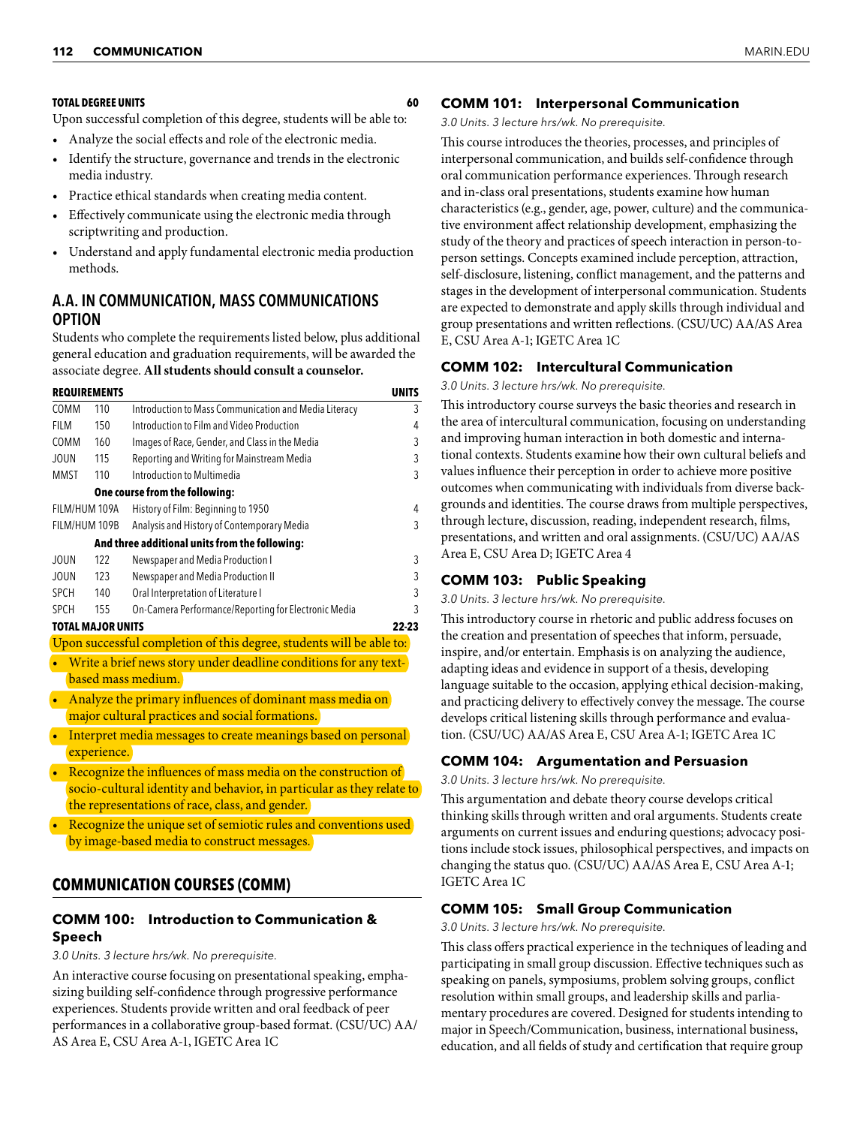#### **TOTAL DEGREE UNITS 60**

Upon successful completion of this degree, students will be able to:

- Analyze the social effects and role of the electronic media.
- Identify the structure, governance and trends in the electronic media industry.
- Practice ethical standards when creating media content.
- Effectively communicate using the electronic media through scriptwriting and production.
- Understand and apply fundamental electronic media production methods.

# A.A. IN COMMUNICATION, MASS COMMUNICATIONS OPTION

Students who complete the requirements listed below, plus additional general education and graduation requirements, will be awarded the associate degree. **All students should consult a counselor.**

|                | <b>REQUIREMENTS</b><br><b>UNITS</b> |                                                                                    |   |  |  |
|----------------|-------------------------------------|------------------------------------------------------------------------------------|---|--|--|
| <b>COMM</b>    | 110                                 | Introduction to Mass Communication and Media Literacy                              |   |  |  |
| FII M          | 150                                 | Introduction to Film and Video Production                                          | 4 |  |  |
| <b>COMM</b>    | 160                                 | Images of Race, Gender, and Class in the Media                                     | 3 |  |  |
| <b>JOUN</b>    | 115                                 | Reporting and Writing for Mainstream Media                                         | 3 |  |  |
| <b>MMST</b>    | 110                                 | Introduction to Multimedia                                                         | 3 |  |  |
|                |                                     | One course from the following:                                                     |   |  |  |
| FILM/HUM 109A  |                                     | History of Film: Beginning to 1950                                                 | 4 |  |  |
| FILM/HUM 109B  |                                     | Analysis and History of Contemporary Media                                         | 3 |  |  |
|                |                                     | And three additional units from the following:                                     |   |  |  |
| <b>JOUN</b>    | 122                                 | Newspaper and Media Production I                                                   | 3 |  |  |
| <b>JOUN</b>    | 123                                 | Newspaper and Media Production II                                                  | 3 |  |  |
| <b>SPCH</b>    | 140                                 | Oral Interpretation of Literature I                                                | 3 |  |  |
| <b>SPCH</b>    | 155                                 | On-Camera Performance/Reporting for Electronic Media                               | 3 |  |  |
|                | <b>TOTAL MAJOR UNITS</b><br>22-23   |                                                                                    |   |  |  |
|                |                                     | Upon successful completion of this degree, students will be able to:               |   |  |  |
|                |                                     | Write a brief news story under deadline conditions for any text-                   |   |  |  |
|                |                                     | based mass medium.                                                                 |   |  |  |
|                |                                     | Analyze the primary influences of dominant mass media on                           |   |  |  |
|                |                                     | major cultural practices and social formations.                                    |   |  |  |
|                |                                     | Interpret media messages to create meanings based on personal                      |   |  |  |
|                | experience.                         |                                                                                    |   |  |  |
| <b>Section</b> |                                     | <b><i>Contract Contract Contract</i></b><br><b>Contact Contact Contact Contact</b> |   |  |  |

- Recognize the influences of mass media on the construction of socio-cultural identity and behavior, in particular as they relate to the representations of race, class, and gender.
- Recognize the unique set of semiotic rules and conventions used by image-based media to construct messages.

# **COMMUNICATION COURSES (COMM)**

### **COMM 100: Introduction to Communication & Speech**

*3.0 Units. 3 lecture hrs/wk. No prerequisite.*

An interactive course focusing on presentational speaking, emphasizing building self-confidence through progressive performance experiences. Students provide written and oral feedback of peer performances in a collaborative group-based format. (CSU/UC) AA/ AS Area E, CSU Area A-1, IGETC Area 1C

#### **COMM 101: Interpersonal Communication**

*3.0 Units. 3 lecture hrs/wk. No prerequisite.*

This course introduces the theories, processes, and principles of interpersonal communication, and builds self-confidence through oral communication performance experiences. Through research and in-class oral presentations, students examine how human characteristics (e.g., gender, age, power, culture) and the communicative environment affect relationship development, emphasizing the study of the theory and practices of speech interaction in person-toperson settings. Concepts examined include perception, attraction, self-disclosure, listening, conflict management, and the patterns and stages in the development of interpersonal communication. Students are expected to demonstrate and apply skills through individual and group presentations and written reflections. (CSU/UC) AA/AS Area E, CSU Area A-1; IGETC Area 1C

### **COMM 102: Intercultural Communication**

*3.0 Units. 3 lecture hrs/wk. No prerequisite.*

This introductory course surveys the basic theories and research in the area of intercultural communication, focusing on understanding and improving human interaction in both domestic and international contexts. Students examine how their own cultural beliefs and values influence their perception in order to achieve more positive outcomes when communicating with individuals from diverse backgrounds and identities. The course draws from multiple perspectives, through lecture, discussion, reading, independent research, films, presentations, and written and oral assignments. (CSU/UC) AA/AS Area E, CSU Area D; IGETC Area 4

### **COMM 103: Public Speaking**

*3.0 Units. 3 lecture hrs/wk. No prerequisite.*

This introductory course in rhetoric and public address focuses on the creation and presentation of speeches that inform, persuade, inspire, and/or entertain. Emphasis is on analyzing the audience, adapting ideas and evidence in support of a thesis, developing language suitable to the occasion, applying ethical decision-making, and practicing delivery to effectively convey the message. The course develops critical listening skills through performance and evaluation. (CSU/UC) AA/AS Area E, CSU Area A-1; IGETC Area 1C

### **COMM 104: Argumentation and Persuasion**

*3.0 Units. 3 lecture hrs/wk. No prerequisite.*

This argumentation and debate theory course develops critical thinking skills through written and oral arguments. Students create arguments on current issues and enduring questions; advocacy positions include stock issues, philosophical perspectives, and impacts on changing the status quo. (CSU/UC) AA/AS Area E, CSU Area A-1; IGETC Area 1C

#### **COMM 105: Small Group Communication**

*3.0 Units. 3 lecture hrs/wk. No prerequisite.*

This class offers practical experience in the techniques of leading and participating in small group discussion. Effective techniques such as speaking on panels, symposiums, problem solving groups, conflict resolution within small groups, and leadership skills and parliamentary procedures are covered. Designed for students intending to major in Speech/Communication, business, international business, education, and all fields of study and certification that require group